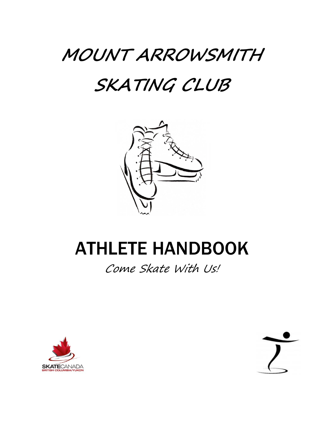# **MOUNT ARROWSMITH**

# **SKATING CLUB**



# ATHLETE HANDBOOK

Come Skate With Us!



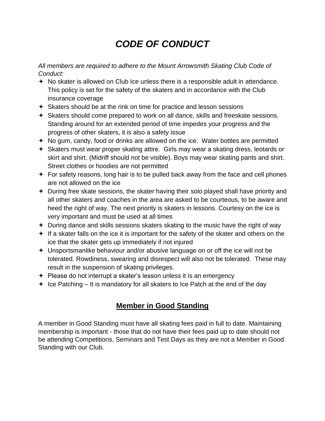## *CODE OF CONDUCT*

*All members are required to adhere to the Mount Arrowsmith Skating Club Code of Conduct:*

- No skater is allowed on Club Ice unless there is a responsible adult in attendance. This policy is set for the safety of the skaters and in accordance with the Club insurance coverage
- Skaters should be at the rink on time for practice and lesson sessions
- Skaters should come prepared to work on all dance, skills and freeskate sessions. Standing around for an extended period of time impedes your progress and the progress of other skaters, it is also a safety issue
- $\div$  No gum, candy, food or drinks are allowed on the ice. Water bottles are permitted
- Skaters must wear proper skating attire. Girls may wear a skating dress, leotards or skirt and shirt. (Midriff should not be visible). Boys may wear skating pants and shirt. Street clothes or hoodies are not permitted
- $\div$  For safety reasons, long hair is to be pulled back away from the face and cell phones are not allowed on the ice
- During free skate sessions, the skater having their solo played shall have priority and all other skaters and coaches in the area are asked to be courteous, to be aware and heed the right of way. The next priority is skaters in lessons. Courtesy on the ice is very important and must be used at all times
- $+$  During dance and skills sessions skaters skating to the music have the right of way
- $\div$  If a skater falls on the ice it is important for the safety of the skater and others on the ice that the skater gets up immediately if not injured
- Unsportsmanlike behaviour and/or abusive language on or off the ice will not be tolerated. Rowdiness, swearing and disrespect will also not be tolerated. These may result in the suspension of skating privileges.
- $\div$  Please do not interrupt a skater's lesson unless it is an emergency
- $\div$  Ice Patching It is mandatory for all skaters to Ice Patch at the end of the day

#### **Member in Good Standing**

A member in Good Standing must have all skating fees paid in full to date. Maintaining membership is important - those that do not have their fees paid up to date should not be attending Competitions, Seminars and Test Days as they are not a Member in Good Standing with our Club.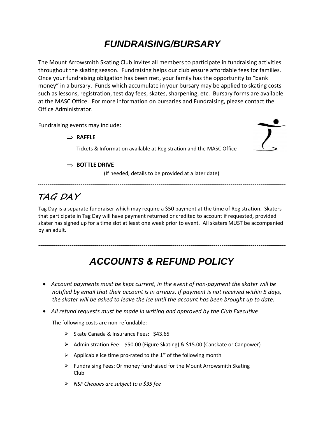## *FUNDRAISING/BURSARY*

The Mount Arrowsmith Skating Club invites all members to participate in fundraising activities throughout the skating season. Fundraising helps our club ensure affordable fees for families. Once your fundraising obligation has been met, your family has the opportunity to "bank money" in a bursary. Funds which accumulate in your bursary may be applied to skating costs such as lessons, registration, test day fees, skates, sharpening, etc. Bursary forms are available at the MASC Office. For more information on bursaries and Fundraising, please contact the Office Administrator.

Fundraising events may include:

#### **RAFFLE**

Tickets & Information available at Registration and the MASC Office

#### **BOTTLE DRIVE**

(If needed, details to be provided at a later date)

**-------------------------------------------------------------------------------------------------------------------------------** 

### **TAG DAY**

Tag Day is a separate fundraiser which may require a \$50 payment at the time of Registration. Skaters that participate in Tag Day will have payment returned or credited to account if requested, provided skater has signed up for a time slot at least one week prior to event. All skaters MUST be accompanied by an adult.

# *ACCOUNTS & REFUND POLICY*

**-------------------------------------------------------------------------------------------------------------------------------**

- *Account payments must be kept current, in the event of non-payment the skater will be notified by email that their account is in arrears. If payment is not received within 5 days, the skater will be asked to leave the ice until the account has been brought up to date.*
- *All refund requests must be made in writing and approved by the Club Executive*

The following costs are non-refundable:

- ➢ Skate Canada & Insurance Fees: \$43.65
- ➢ Administration Fee: \$50.00 (Figure Skating) & \$15.00 (Canskate or Canpower)
- $\triangleright$  Applicable ice time pro-rated to the 1<sup>st</sup> of the following month
- ➢ Fundraising Fees: Or money fundraised for the Mount Arrowsmith Skating Club
- ➢ *NSF Cheques are subject to a \$35 fee*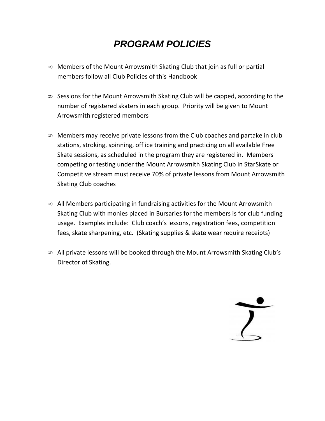## *PROGRAM POLICIES*

- $\infty$  Members of the Mount Arrowsmith Skating Club that join as full or partial members follow all Club Policies of this Handbook
- $\infty$  Sessions for the Mount Arrowsmith Skating Club will be capped, according to the number of registered skaters in each group. Priority will be given to Mount Arrowsmith registered members
- $\infty$  Members may receive private lessons from the Club coaches and partake in club stations, stroking, spinning, off ice training and practicing on all available Free Skate sessions, as scheduled in the program they are registered in. Members competing or testing under the Mount Arrowsmith Skating Club in StarSkate or Competitive stream must receive 70% of private lessons from Mount Arrowsmith Skating Club coaches
- $\infty$  All Members participating in fundraising activities for the Mount Arrowsmith Skating Club with monies placed in Bursaries for the members is for club funding usage. Examples include: Club coach's lessons, registration fees, competition fees, skate sharpening, etc. (Skating supplies & skate wear require receipts)
- $\infty$  All private lessons will be booked through the Mount Arrowsmith Skating Club's Director of Skating.